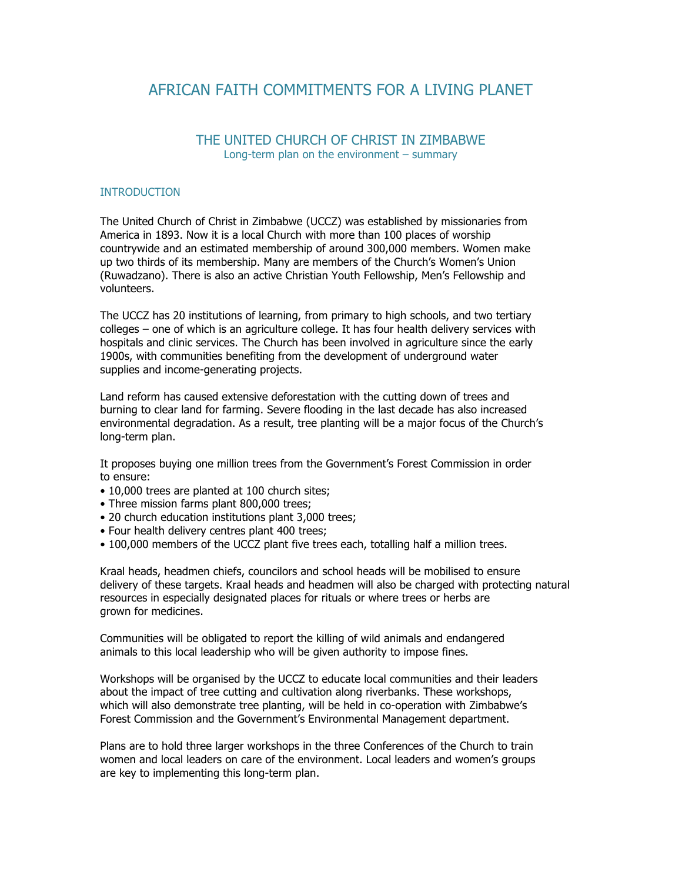## AFRICAN FAITH COMMITMENTS FOR A LIVING PLANET

## THE UNITED CHURCH OF CHRIST IN ZIMBABWE Long-term plan on the environment – summary

## INTRODUCTION

The United Church of Christ in Zimbabwe (UCCZ) was established by missionaries from America in 1893. Now it is a local Church with more than 100 places of worship countrywide and an estimated membership of around 300,000 members. Women make up two thirds of its membership. Many are members of the Church's Women's Union (Ruwadzano). There is also an active Christian Youth Fellowship, Men's Fellowship and volunteers.

The UCCZ has 20 institutions of learning, from primary to high schools, and two tertiary colleges – one of which is an agriculture college. It has four health delivery services with hospitals and clinic services. The Church has been involved in agriculture since the early 1900s, with communities benefiting from the development of underground water supplies and income-generating projects.

Land reform has caused extensive deforestation with the cutting down of trees and burning to clear land for farming. Severe flooding in the last decade has also increased environmental degradation. As a result, tree planting will be a major focus of the Church's long-term plan.

It proposes buying one million trees from the Government's Forest Commission in order to ensure:

- 10,000 trees are planted at 100 church sites;
- Three mission farms plant 800,000 trees;
- 20 church education institutions plant 3,000 trees;
- Four health delivery centres plant 400 trees;
- 100,000 members of the UCCZ plant five trees each, totalling half a million trees.

Kraal heads, headmen chiefs, councilors and school heads will be mobilised to ensure delivery of these targets. Kraal heads and headmen will also be charged with protecting natural resources in especially designated places for rituals or where trees or herbs are grown for medicines.

Communities will be obligated to report the killing of wild animals and endangered animals to this local leadership who will be given authority to impose fines.

Workshops will be organised by the UCCZ to educate local communities and their leaders about the impact of tree cutting and cultivation along riverbanks. These workshops, which will also demonstrate tree planting, will be held in co-operation with Zimbabwe's Forest Commission and the Government's Environmental Management department.

Plans are to hold three larger workshops in the three Conferences of the Church to train women and local leaders on care of the environment. Local leaders and women's groups are key to implementing this long-term plan.